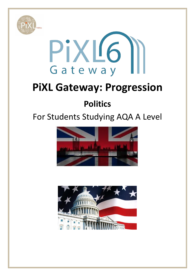



# **PiXL Gateway: Progression**

## **Politics**

## For Students Studying AQA A Level



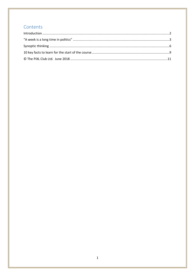## Contents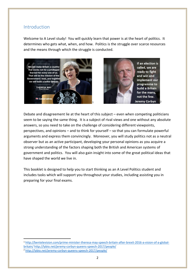#### <span id="page-2-0"></span>Introduction

Welcome to A Level study! You will quickly learn that power is at the heart of politics. It determines who gets what, when, and how. Politics is the struggle over scarce resources and the means through which the struggle is conducted.





Debate and disagreement lie at the heart of this subject – even when competing politicians seem to be saying the same thing. It is a subject of rival views and one without any absolute answers, so you need to take on the challenge of considering different viewpoints, perspectives, and opinions – and to think for yourself – so that you can formulate powerful arguments and express them convincingly. Moreover, you will study politics not as a neutral observer but as an active participant, developing your personal opinions as you acquire a strong understanding of the factors shaping both the British and American systems of government and politics. You will also gain insight into some of the great political ideas that have shaped the world we live in.

This booklet is designed to help you to start thinking as an A Level Politics student and includes tasks which will support you throughout your studies, including assisting you in preparing for your final exams.

<sup>1</sup> [http://bentelevision.com/prime-minister-theresa-may-speech-britain-after-brexit-2016-a-vision-of-a-global](http://bentelevision.com/prime-minister-theresa-may-speech-britain-after-brexit-2016-a-vision-of-a-global-britain/)[britain/](http://bentelevision.com/prime-minister-theresa-may-speech-britain-after-brexit-2016-a-vision-of-a-global-britain/) <http://lybio.net/jeremy-corbyn-queens-speech-2017/people/> <sup>2</sup> <http://lybio.net/jeremy-corbyn-queens-speech-2017/people/>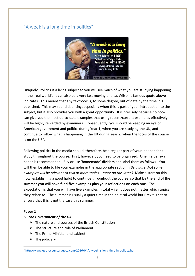## <span id="page-3-0"></span>"A week is a long time in politics"



Uniquely, Politics is a living subject so you will see much of what you are studying happening in the 'real world'. It can also be a very fast moving one, as Wilson's famous quote above indicates. This means that any textbook is, to some degree, out of date by the time it is published. This may sound daunting, especially when this is part of your introduction to the subject, but it also provides you with a great opportunity. It is precisely because no book can give you the most up-to-date examples that using recent/current examples effectively will be highly rewarded by examiners. Consequently, you should be keeping an eye on American government and politics during Year 1, when you are studying the UK, and continue to follow what is happening in the UK during Year 2, when the focus of the course is on the USA.

Following politics in the media should, therefore, be a regular part of your independent study throughout the course. First, however, you need to be organised. One file per exam paper is recommended. Buy or use 'homemade' dividers and label them as follows. You will then be able to file your examples in the appropriate section. *(Be aware that some examples will be relevant to two or more topics – more on this later.)* Make a start on this now, establishing a good habit to continue throughout the course, so that **by the end of the summer you will have filed five examples plus your reflections on each one**. The expectation is that you will have five examples in total – i.e. it does not matter which topics they relate to. The summer is usually a quiet time in the political world but Brexit is set to ensure that this is not the case this summer.

#### **Paper 1**

- o *The Government of the UK* 
	- $\triangleright$  The nature and sources of the British Constitution
	- $\triangleright$  The structure and role of Parliament
	- $\triangleright$  The Prime Minister and cabinet
	- $\triangleright$  The judiciary

<sup>3</sup> <http://www.quotecounterquote.com/2016/04/a-week-is-long-time-in-politics.html>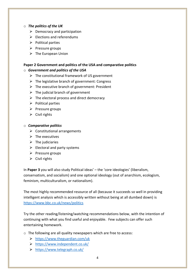#### o *The politics of the UK*

- $\triangleright$  Democracy and participation
- $\triangleright$  Elections and referendums
- $\triangleright$  Political parties
- ➢ Pressure groups
- $\triangleright$  The European Union

#### **Paper 2 Government and politics of the USA and comparative politics**

#### o *Government and politics of the USA*

- $\triangleright$  The constitutional framework of US government
- $\triangleright$  The legislative branch of government: Congress
- $\triangleright$  The executive branch of government: President
- $\triangleright$  The judicial branch of government
- $\triangleright$  The electoral process and direct democracy
- $\triangleright$  Political parties
- $\triangleright$  Pressure groups
- $\triangleright$  Civil rights

#### o *Comparative politics*

- $\triangleright$  Constitutional arrangements
- $\triangleright$  The executives
- $\triangleright$  The judiciaries
- $\triangleright$  Electoral and party systems
- ➢ Pressure groups
- $\triangleright$  Civil rights

In **Paper 3** you will also study Political ideas' – the 'core ideologies' (liberalism, conservatism, and socialism) and one optional ideology (out of anarchism, ecologism, feminism, multiculturalism, or nationalism).

The most highly recommended resource of all (because it succeeds so well in providing intelligent analysis which is accessibly written without being at all dumbed down) is <https://www.bbc.co.uk/news/politics>

Try the other reading/listening/watching recommendations below, with the intention of continuing with what you find useful and enjoyable. Few subjects can offer such entertaining homework.

- o The following are all quality newspapers which are free to access:
	- ➢ <https://www.theguardian.com/uk>
	- ➢ <https://www.independent.co.uk/>
	- ➢ <https://www.telegraph.co.uk/>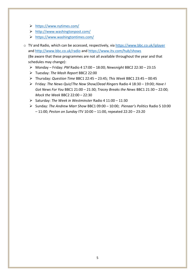- ➢ <https://www.nytimes.com/>
- ➢ <http://www.washingtonpost.com/>
- ➢ <https://www.washingtontimes.com/>
- o TV and Radio, which can be accessed, respectively, vi[a https://www.bbc.co.uk/iplayer](https://www.bbc.co.uk/iplayer) and<http://www.bbc.co.uk/radio> and<https://www.itv.com/hub/shows> (Be aware that these programmes are not all available throughout the year and that schedules may change):
	- ➢ Monday Friday: *PM* Radio 4 17:00 18:00; *Newsnight* BBC2 22:30 23:15
	- ➢ Tuesday: *The Mash Report* BBC2 22:00
	- ➢ Thursday: *Question Time* BBC1 22:45 23:45; *This Week* BBC1 23:45 00:45
	- ➢ Friday: *The News Quiz*/*The Now Show*/*Dead Ringers* Radio 4 18:30 19:00; *Have I Got News For You* BBC1 21:00 – 21:30; *Tracey Breaks the News* BBC1 21:30 – 22:00; *Mock the Week* BBC2 22:00 – 22:30
	- ➢ Saturday: *The Week in Westminster* Radio 4 11:00 11:30
	- ➢ Sunday: *The Andrew Marr Show* BBC1 09:00 10:00; *Pienaar's Politics* Radio 5 10:00 – 11:00; *Peston on Sunday* ITV 10:00 – 11:00, repeated 22:20 – 23:20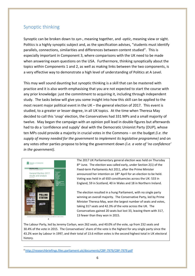### <span id="page-6-0"></span>Synoptic thinking

Synoptic can be broken down to *syn-*, meaning together, and *-optic*, meaning view or sight. Politics is a highly synoptic subject and, as the specification advises, "students must identify parallels, connections, similarities and differences between content studied". This is especially important in Component 3, where comparisons with the UK need to be made when answering exam questions on the USA. Furthermore, thinking synoptically about the topics within Components 1 and 2, as well as making links between the two components, is a very effective way to demonstrate a high level of understanding of Politics at A Level.

This may well sound daunting but synoptic thinking is a skill that can be mastered with practice and it is also worth emphasising that you are not expected to start the course with any prior knowledge: just the commitment to acquiring it, including through independent study. The tasks below will give you some insight into how this skill can be applied to the most recent major political event in the UK – the general election of 2017. This event is studied, to a greater or lesser degree, in all UK topics. At the time when Theresa May decided to call this 'snap' election, the Conservatives had 331 MPs and a small majority of twelve. May began the campaign with an opinion poll lead in double figures but afterwards had to do a 'confidence and supply' deal with the Democratic Unionist Party (DUP), whose ten MPs could provide a majority in crucial votes in the Commons – on the budget *(i.e. the supply of money needed for the government to implement its legislative programme)* and on any votes other parties propose to bring the government down *(i.e. a vote of 'no confidence' in the government).*



The 2017 UK Parliamentary general election was held on Thursday 8<sup>th</sup> June. The election was called early, under Section 2(1) of the Fixed-term Parliaments Act 2011, after the Prime Minister announced her intention on 18th April for an election to be held. Voting was held in all 650 constituencies across the UK: 533 in England, 59 in Scotland, 40 in Wales and 18 in Northern Ireland.

The election resulted in a hung Parliament, with no single party winning an overall majority. The Conservative Party, led by Prime Minister Theresa May, won the largest number of seats and votes, taking 317 seats and 42.3% of the vote across the UK. The Conservatives gained 20 seats but lost 33, leaving them with 317, 13 fewer than they won in 2015.

The Labour Party, led by Jeremy Corbyn, won 262 seats, and 40.0% of the vote, up from 232 seats and 30.4% of the vote in 2015. The Conservatives' share of the vote is the highest for any single party since the 43.2% won by Labour in 1997, and their total of 13.6 million votes is the second highest total in UK electoral history.

<sup>4</sup> <http://researchbriefings.files.parliament.uk/documents/CBP-7979/CBP-7979.pdf>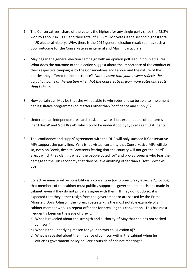- 1. The Conservatives' share of the vote is the highest for any single party since the 43.2% won by Labour in 1997, and their total of 13.6 million votes is the second highest total in UK electoral history. Why, then, is the 2017 general election result seen as such a poor outcome for the Conservatives in general and May in particular?
- 2. May began the general election campaign with an opinion poll lead in double figures. What does the outcome of the election suggest about the importance of the conduct of their respective campaigns by the Conservatives and Labour and the nature of the policies they offered to the electorate? *Note: ensure that your answer reflects the actual outcome of the election – i.e. that the Conservatives won more votes and seats than Labour.*
- 3. How certain can May be that she will be able to win votes and so be able to implement her legislative programme (on matters other than 'confidence and supply')?
- 4. Undertake an independent research task and write short explanations of the terms 'hard Brexit' and 'soft Brexit', which could be understood by typical Year 10 students.
- 5. The 'confidence and supply' agreement with the DUP will only succeed if Conservative MPs support the party line. Why is it a virtual certainty that Conservative MPs will do so, even on Brexit, despite Brexiteers fearing that the country will not get the 'hard' Brexit which they claim is what "the people voted for" and pro-Europeans who fear the damage to the UK's economy that they believe anything other than a 'soft' Brexit will do?
- 6. Collective ministerial responsibility is a convention *(i.e. a principle of expected practice)* that members of the cabinet must publicly support all governmental decisions made in cabinet, even if they do not privately agree with them. If they do not do so, it is expected that they either resign from the government or are sacked by the Prime Minister. Boris Johnson, the Foreign Secretary, is the most notable example of a cabinet member who is a repeat offender for breaking this convention. This has most frequently been on the issue of Brexit.
	- a) What is revealed about the strength and authority of May that she has not sacked Johnson?
	- b) What is the underlying reason for your answer to Question a)?
	- c) What is revealed about the influence of Johnson within the cabinet when he criticises government policy on Brexit outside of cabinet meetings?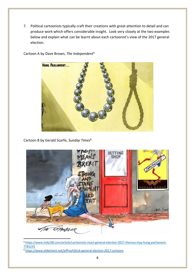7. Political cartoonists typically craft their creations with great attention to detail and can produce work which offers considerable insight. Look very closely at the two examples below and explain what can be learnt about each cartoonist's view of the 2017 general election.



Cartoon A by Dave Brown, *The Independent*<sup>5</sup>

Cartoon B by Gerald Scarfe, *Sunday Times*<sup>6</sup>



<sup>5</sup> [https://www.indy100.com/article/cartoonists-react-general-election-2017-theresa-may-hung-parliament-](https://www.indy100.com/article/cartoonists-react-general-election-2017-theresa-may-hung-parliament-7781241)[7781241](https://www.indy100.com/article/cartoonists-react-general-election-2017-theresa-may-hung-parliament-7781241)

<sup>6</sup> <https://www.slideshare.net/jeffreyhill/uk-general-election-2017-cartoons>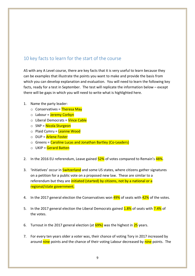## 10 key facts to learn for the start of the course

AS with any A Level course, there are key facts that it is very useful to learn because they can be examples that illustrate the points you want to make and provide the basis from which you can develop explanation and evaluation. You will need to learn the following key facts, ready for a test in September. The test will replicate the information below – except there will be gaps in which you will need to write what is highlighted here.

- 1. Name the party leader:
	- $\circ$  Conservatives = Theresa May
	- o Labour = Jeremy Corbyn
	- o Liberal Democrats = Vince Cable
	- $\circ$  SNP = Nicola Sturgeon
	- o Plaid Cymru = Leanne Wood
	- o DUP = Arlene Foster
	- o Greens = Caroline Lucas and Jonathan Bartley (Co-Leaders)
	- $\circ$  UKIP = Gerard Batten
- 2. In the 2016 EU referendum, Leave gained  $52\%$  of votes compared to Remain's  $48\%$ .
- 3. 'Initiatives' occur in **Switzerland** and some US states, where citizens gather signatures on a petition for a public vote on a proposed new law. These are similar to a referendum but they are initiated (started) by citizens, not by a national or a regional/state government.
- 4. In the 2017 general election the Conservatives won 49% of seats with 42% of the votes.
- 5. In the 2017 general election the Liberal Democrats gained 1.8% of seats with 7.4% of the votes.
- 6. Turnout in the 2017 general election (at  $69\%$ ) was the highest in  $25$  years.
- 7. For every ten years older a voter was, their chance of voting Tory in 2017 increased by around nine points and the chance of their voting Labour decreased by nine points. The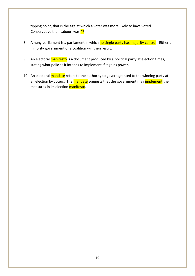tipping point, that is the age at which a voter was more likely to have voted Conservative than Labour, was 47.

- 8. A hung parliament is a parliament in which no single party has majority control. Either a minority government or a coalition will then result.
- 9. An electoral manifesto is a document produced by a political party at election times, stating what policies it intends to implement if it gains power.
- 10. An electoral mandate refers to the authority to govern granted to the winning party at an election by voters. The mandate suggests that the government may *implement* the measures in its election manifesto.